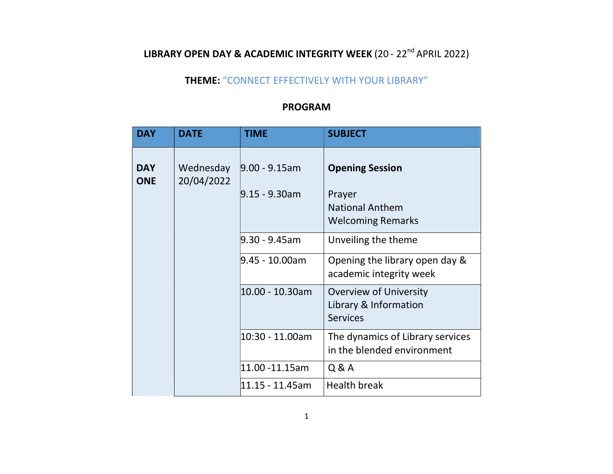## LIBRARY OPEN DAY & ACADEMIC INTEGRITY WEEK (20 - 22<sup>nd</sup> APRIL 2022)

## THEME: "CONNECT EFFECTIVELY WITH YOUR LIBRARY"

## PROGRAM

| <b>DAY</b>               | <b>DATE</b>             | <b>TIME</b>                          | <b>SUBJECT</b>                                                                         |
|--------------------------|-------------------------|--------------------------------------|----------------------------------------------------------------------------------------|
| <b>DAY</b><br><b>ONE</b> | Wednesday<br>20/04/2022 | $9.00 - 9.15$ am<br>$9.15 - 9.30$ am | <b>Opening Session</b><br>Prayer<br><b>National Anthem</b><br><b>Welcoming Remarks</b> |
|                          |                         | 9.30 - 9.45am                        | Unveiling the theme                                                                    |
|                          |                         | l9.45 - 10.00am                      | Opening the library open day &<br>academic integrity week                              |
|                          |                         | 10.00 - 10.30am                      | <b>Overview of University</b><br>Library & Information<br><b>Services</b>              |
|                          |                         | 10:30 - 11.00am                      | The dynamics of Library services<br>in the blended environment                         |
|                          |                         | 11.00 -11.15am                       | Q & A                                                                                  |
|                          |                         | 11.15 - 11.45am                      | <b>Health break</b>                                                                    |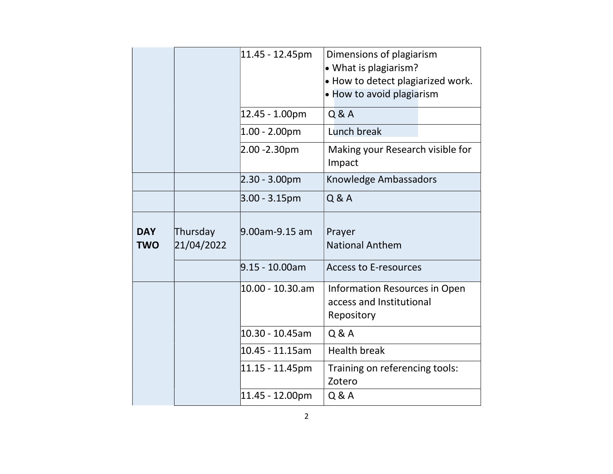|                          |                        | 11.45 - 12.45pm    | Dimensions of plagiarism<br>• What is plagiarism?<br>. How to detect plagiarized work.<br>• How to avoid plagiarism |
|--------------------------|------------------------|--------------------|---------------------------------------------------------------------------------------------------------------------|
|                          |                        | 12.45 - 1.00pm     | Q & A                                                                                                               |
|                          |                        | $ 1.00 - 2.00$ pm  | Lunch break                                                                                                         |
|                          |                        | 2.00 -2.30pm       | Making your Research visible for<br>Impact                                                                          |
|                          |                        | $2.30 - 3.00pm$    | Knowledge Ambassadors                                                                                               |
|                          |                        | $3.00 - 3.15$ pm   | Q & A                                                                                                               |
| <b>DAY</b><br><b>TWO</b> | Thursday<br>21/04/2022 | 9.00am-9.15 am     | Prayer<br><b>National Anthem</b>                                                                                    |
|                          |                        | $9.15 - 10.00$ am  | <b>Access to E-resources</b>                                                                                        |
|                          |                        | 10.00 - 10.30.am   | Information Resources in Open<br>access and Institutional<br>Repository                                             |
|                          |                        | 10.30 - 10.45am    | Q & A                                                                                                               |
|                          |                        | $10.45 - 11.15$ am | <b>Health break</b>                                                                                                 |
|                          |                        | 11.15 - 11.45pm    | Training on referencing tools:<br>Zotero                                                                            |
|                          |                        | 11.45 - 12.00pm    | Q & A                                                                                                               |